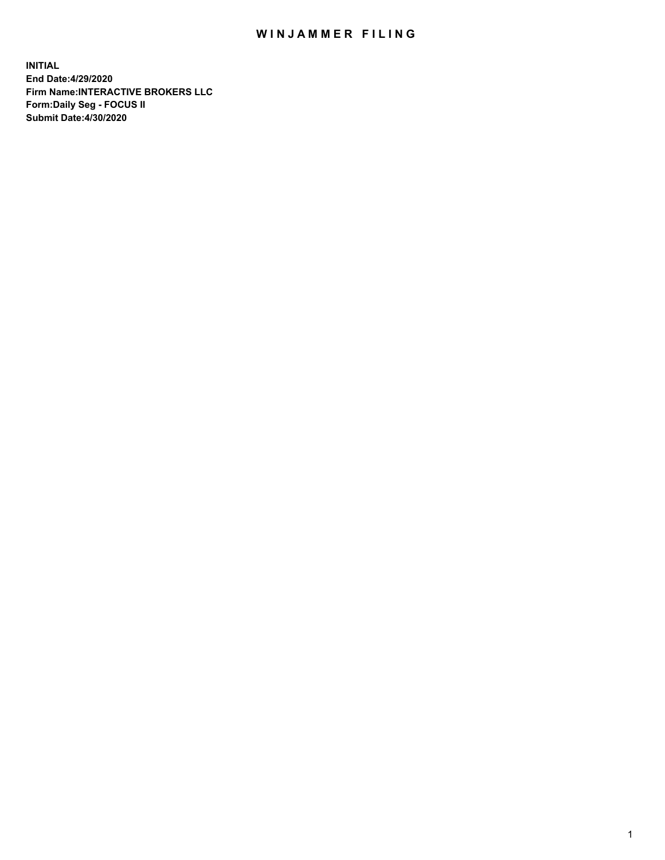## WIN JAMMER FILING

**INITIAL End Date:4/29/2020 Firm Name:INTERACTIVE BROKERS LLC Form:Daily Seg - FOCUS II Submit Date:4/30/2020**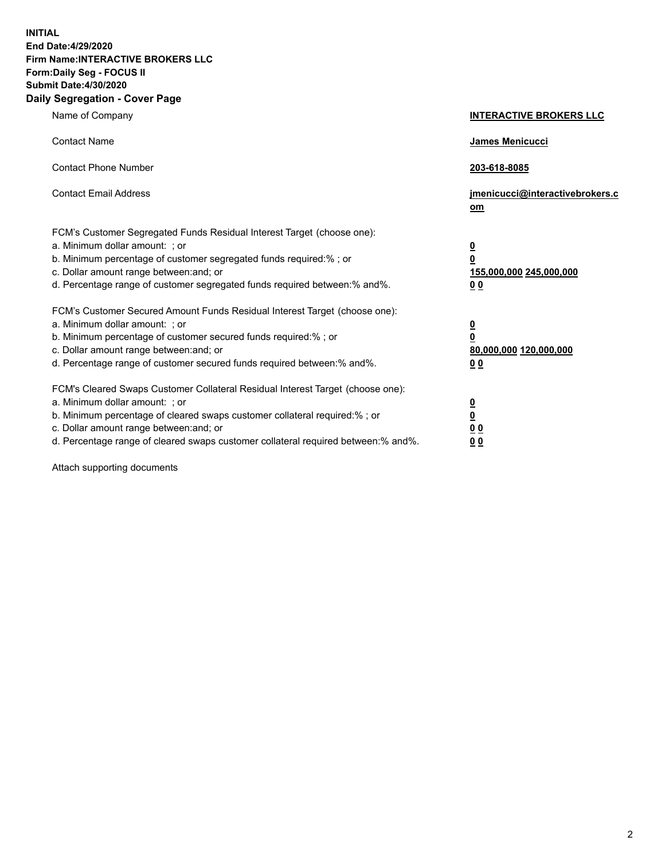**INITIAL End Date:4/29/2020 Firm Name:INTERACTIVE BROKERS LLC Form:Daily Seg - FOCUS II Submit Date:4/30/2020 Daily Segregation - Cover Page**

| Name of Company                                                                                                                                                                                                                                                                                                                | <b>INTERACTIVE BROKERS LLC</b>                                                                  |
|--------------------------------------------------------------------------------------------------------------------------------------------------------------------------------------------------------------------------------------------------------------------------------------------------------------------------------|-------------------------------------------------------------------------------------------------|
| <b>Contact Name</b>                                                                                                                                                                                                                                                                                                            | <b>James Menicucci</b>                                                                          |
| <b>Contact Phone Number</b>                                                                                                                                                                                                                                                                                                    | 203-618-8085                                                                                    |
| <b>Contact Email Address</b>                                                                                                                                                                                                                                                                                                   | jmenicucci@interactivebrokers.c<br>om                                                           |
| FCM's Customer Segregated Funds Residual Interest Target (choose one):<br>a. Minimum dollar amount: ; or<br>b. Minimum percentage of customer segregated funds required:%; or<br>c. Dollar amount range between: and; or<br>d. Percentage range of customer segregated funds required between:% and%.                          | $\overline{\mathbf{0}}$<br>$\overline{\mathbf{0}}$<br>155,000,000 245,000,000<br>0 <sub>0</sub> |
| FCM's Customer Secured Amount Funds Residual Interest Target (choose one):<br>a. Minimum dollar amount: ; or<br>b. Minimum percentage of customer secured funds required:%; or<br>c. Dollar amount range between: and; or<br>d. Percentage range of customer secured funds required between:% and%.                            | <u>0</u><br>$\overline{\mathbf{0}}$<br>80,000,000 120,000,000<br>0 <sub>0</sub>                 |
| FCM's Cleared Swaps Customer Collateral Residual Interest Target (choose one):<br>a. Minimum dollar amount: ; or<br>b. Minimum percentage of cleared swaps customer collateral required:% ; or<br>c. Dollar amount range between: and; or<br>d. Percentage range of cleared swaps customer collateral required between:% and%. | $\overline{\mathbf{0}}$<br>$\underline{\mathbf{0}}$<br>0 <sub>0</sub><br>00                     |

Attach supporting documents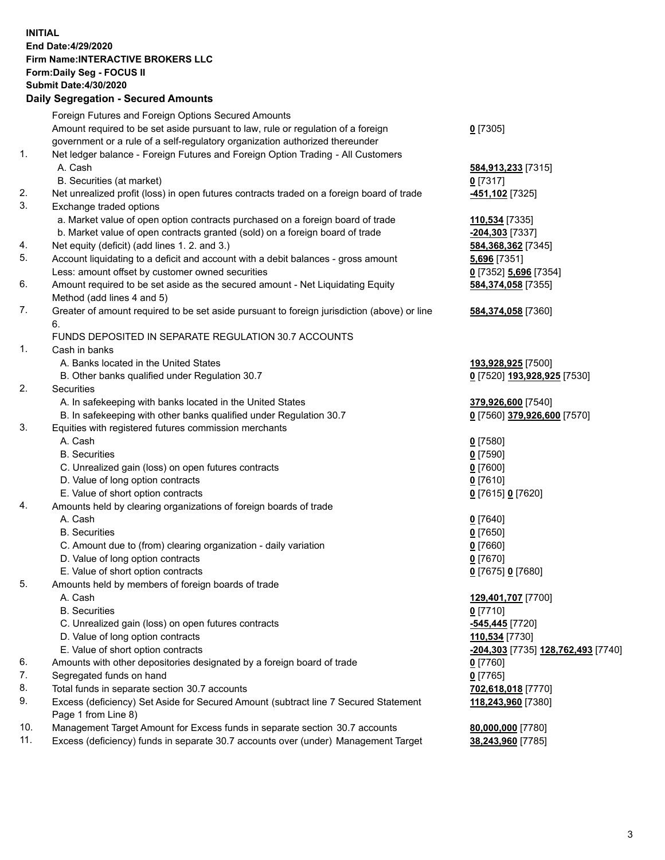**INITIAL End Date:4/29/2020 Firm Name:INTERACTIVE BROKERS LLC Form:Daily Seg - FOCUS II Submit Date:4/30/2020 Daily Segregation - Secured Amounts**

|     | Foreign Futures and Foreign Options Secured Amounts                                               |                                                 |
|-----|---------------------------------------------------------------------------------------------------|-------------------------------------------------|
|     | Amount required to be set aside pursuant to law, rule or regulation of a foreign                  | $0$ [7305]                                      |
|     | government or a rule of a self-regulatory organization authorized thereunder                      |                                                 |
| 1.  | Net ledger balance - Foreign Futures and Foreign Option Trading - All Customers                   |                                                 |
|     | A. Cash                                                                                           | 584,913,233 [7315]                              |
|     | B. Securities (at market)                                                                         | $0$ [7317]                                      |
| 2.  | Net unrealized profit (loss) in open futures contracts traded on a foreign board of trade         | 451,102 <sup>[7325]</sup>                       |
| 3.  | Exchange traded options                                                                           |                                                 |
|     | a. Market value of open option contracts purchased on a foreign board of trade                    | 110,534 [7335]                                  |
|     | b. Market value of open contracts granted (sold) on a foreign board of trade                      | -204,303 [7337]                                 |
| 4.  | Net equity (deficit) (add lines 1. 2. and 3.)                                                     | 584, 368, 362 [7345]                            |
| 5.  | Account liquidating to a deficit and account with a debit balances - gross amount                 | 5,696 [7351]                                    |
|     | Less: amount offset by customer owned securities                                                  | 0 [7352] 5,696 [7354]                           |
| 6.  | Amount required to be set aside as the secured amount - Net Liquidating Equity                    | 584,374,058 [7355]                              |
|     | Method (add lines 4 and 5)                                                                        |                                                 |
| 7.  | Greater of amount required to be set aside pursuant to foreign jurisdiction (above) or line<br>6. | 584,374,058 [7360]                              |
|     | FUNDS DEPOSITED IN SEPARATE REGULATION 30.7 ACCOUNTS                                              |                                                 |
| 1.  | Cash in banks                                                                                     |                                                 |
|     | A. Banks located in the United States                                                             | 193,928,925 [7500]                              |
|     | B. Other banks qualified under Regulation 30.7                                                    | 0 [7520] 193,928,925 [7530]                     |
| 2.  | <b>Securities</b>                                                                                 |                                                 |
|     | A. In safekeeping with banks located in the United States                                         | 379,926,600 [7540]                              |
|     | B. In safekeeping with other banks qualified under Regulation 30.7                                | 0 [7560] 379,926,600 [7570]                     |
| 3.  | Equities with registered futures commission merchants                                             |                                                 |
|     | A. Cash                                                                                           | $0$ [7580]                                      |
|     | <b>B.</b> Securities                                                                              | $0$ [7590]                                      |
|     | C. Unrealized gain (loss) on open futures contracts                                               | $0$ [7600]                                      |
|     | D. Value of long option contracts                                                                 | $0$ [7610]                                      |
|     | E. Value of short option contracts                                                                | 0 [7615] 0 [7620]                               |
| 4.  | Amounts held by clearing organizations of foreign boards of trade                                 |                                                 |
|     | A. Cash                                                                                           | $Q$ [7640]                                      |
|     | <b>B.</b> Securities                                                                              | $0$ [7650]                                      |
|     | C. Amount due to (from) clearing organization - daily variation                                   | $0$ [7660]                                      |
|     | D. Value of long option contracts                                                                 | $0$ [7670]                                      |
|     | E. Value of short option contracts                                                                | 0 [7675] 0 [7680]                               |
| 5.  | Amounts held by members of foreign boards of trade                                                |                                                 |
|     | A. Cash                                                                                           | 129,401,707 [7700]                              |
|     | <b>B.</b> Securities                                                                              | $0$ [7710]                                      |
|     | C. Unrealized gain (loss) on open futures contracts                                               | -545,445 <sup>[7720]</sup>                      |
|     | D. Value of long option contracts                                                                 | 110,534 [7730]                                  |
|     | E. Value of short option contracts                                                                | <mark>-204,303</mark> [7735] 128,762,493 [7740] |
| 6.  | Amounts with other depositories designated by a foreign board of trade                            | $0$ [7760]                                      |
| 7.  | Segregated funds on hand                                                                          | $0$ [7765]                                      |
| 8.  | Total funds in separate section 30.7 accounts                                                     | 702,618,018 [7770]                              |
| 9.  | Excess (deficiency) Set Aside for Secured Amount (subtract line 7 Secured Statement               | 118,243,960 [7380]                              |
|     | Page 1 from Line 8)                                                                               |                                                 |
| 10. | Management Target Amount for Excess funds in separate section 30.7 accounts                       | 80,000,000 [7780]                               |
| 11. | Excess (deficiency) funds in separate 30.7 accounts over (under) Management Target                | 38,243,960 [7785]                               |
|     |                                                                                                   |                                                 |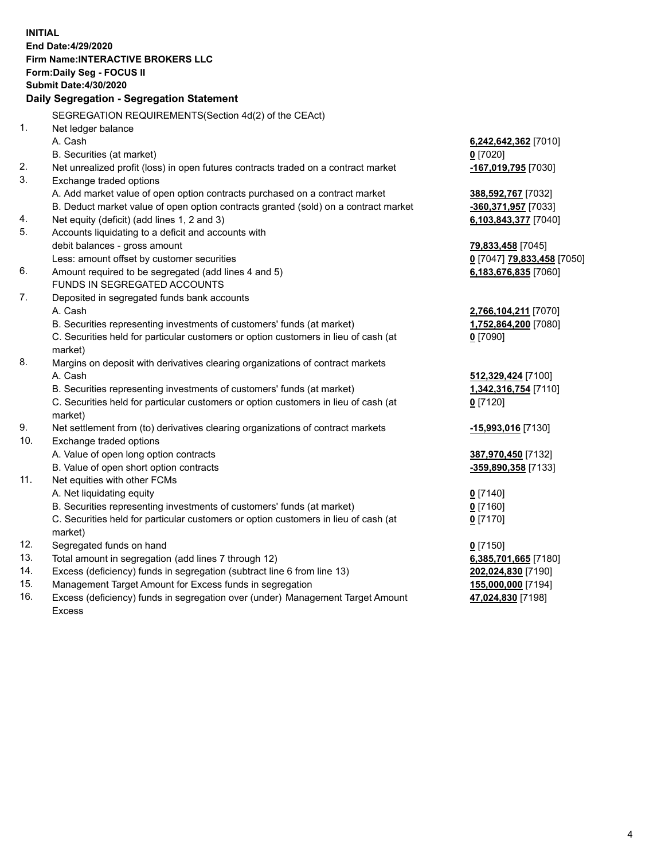**INITIAL End Date:4/29/2020 Firm Name:INTERACTIVE BROKERS LLC Form:Daily Seg - FOCUS II Submit Date:4/30/2020 Daily Segregation - Segregation Statement** SEGREGATION REQUIREMENTS(Section 4d(2) of the CEAct) 1. Net ledger balance A. Cash **6,242,642,362** [7010] B. Securities (at market) **0** [7020] 2. Net unrealized profit (loss) in open futures contracts traded on a contract market **-167,019,795** [7030] 3. Exchange traded options A. Add market value of open option contracts purchased on a contract market **388,592,767** [7032] B. Deduct market value of open option contracts granted (sold) on a contract market **-360,371,957** [7033] 4. Net equity (deficit) (add lines 1, 2 and 3) **6,103,843,377** [7040] 5. Accounts liquidating to a deficit and accounts with debit balances - gross amount **79,833,458** [7045] Less: amount offset by customer securities **0** [7047] **79,833,458** [7050] 6. Amount required to be segregated (add lines 4 and 5) **6,183,676,835** [7060] FUNDS IN SEGREGATED ACCOUNTS 7. Deposited in segregated funds bank accounts A. Cash **2,766,104,211** [7070] B. Securities representing investments of customers' funds (at market) **1,752,864,200** [7080] C. Securities held for particular customers or option customers in lieu of cash (at market) **0** [7090] 8. Margins on deposit with derivatives clearing organizations of contract markets A. Cash **512,329,424** [7100] B. Securities representing investments of customers' funds (at market) **1,342,316,754** [7110] C. Securities held for particular customers or option customers in lieu of cash (at market) **0** [7120] 9. Net settlement from (to) derivatives clearing organizations of contract markets **-15,993,016** [7130] 10. Exchange traded options A. Value of open long option contracts **387,970,450** [7132] B. Value of open short option contracts **-359,890,358** [7133] 11. Net equities with other FCMs A. Net liquidating equity **0** [7140] B. Securities representing investments of customers' funds (at market) **0** [7160] C. Securities held for particular customers or option customers in lieu of cash (at market) **0** [7170] 12. Segregated funds on hand **0** [7150] 13. Total amount in segregation (add lines 7 through 12) **6,385,701,665** [7180] 14. Excess (deficiency) funds in segregation (subtract line 6 from line 13) **202,024,830** [7190] 15. Management Target Amount for Excess funds in segregation **155,000,000** [7194] 16. Excess (deficiency) funds in segregation over (under) Management Target Amount **47,024,830** [7198]

Excess